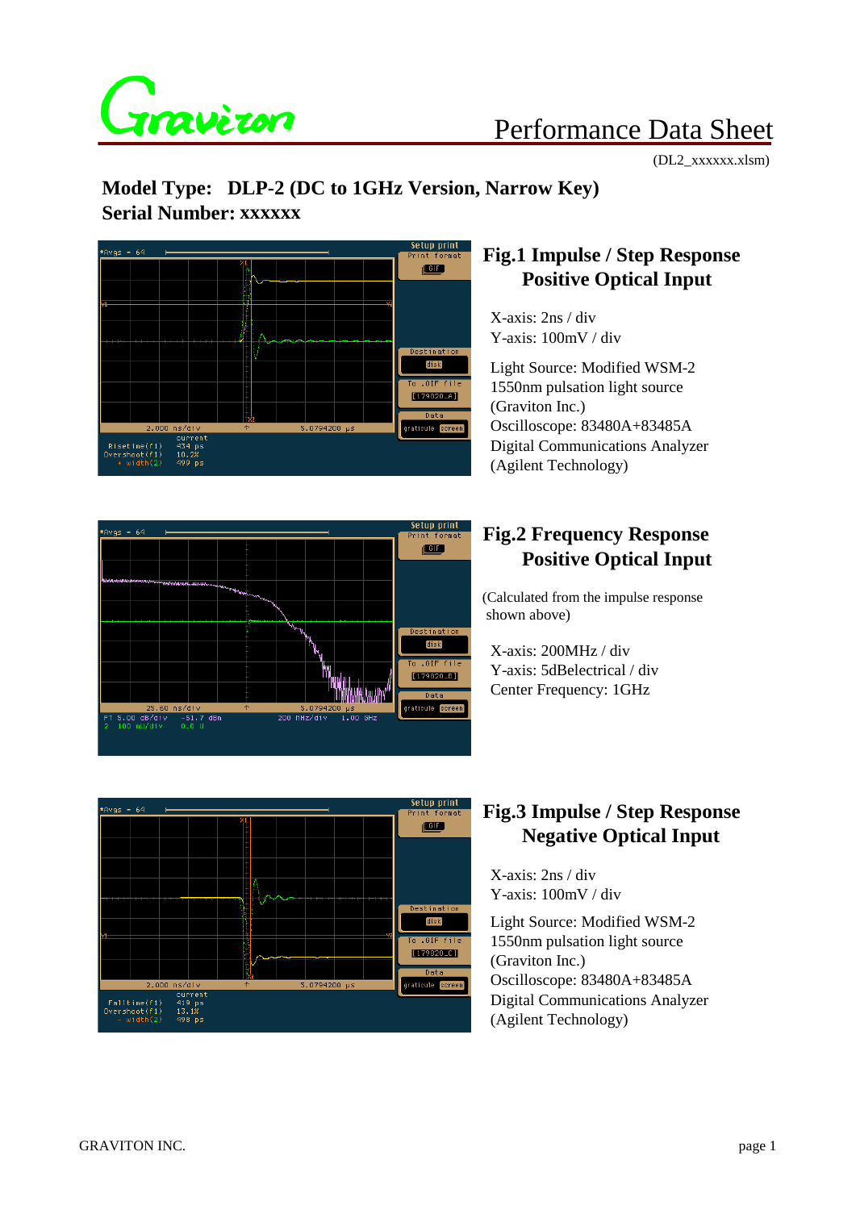

# Performance Data Sheet

(DL2\_xxxxxx.xlsm)

# **Model Type: DLP-2 (DC to 1GHz Version, Narrow Key) Serial Number: xxxxxx**



#### **Fig.1 Impulse / Step Response Positive Optical Input**

 X-axis: 2ns / div Y-axis: 100mV / div

 Light Source: Modified WSM-2 1550nm pulsation light source (Graviton Inc.) Oscilloscope: 83480A+83485A Digital Communications Analyzer (Agilent Technology)



### **Fig.2 Frequency Response Positive Optical Input**

(Calculated from the impulse response shown above)

 X-axis: 200MHz / div Y-axis: 5dBelectrical / div Center Frequency: 1GHz



#### **Fig.3 Impulse / Step Response Negative Optical Input**

 X-axis: 2ns / div Y-axis: 100mV / div

 Light Source: Modified WSM-2 1550nm pulsation light source (Graviton Inc.) Oscilloscope: 83480A+83485A Digital Communications Analyzer (Agilent Technology)